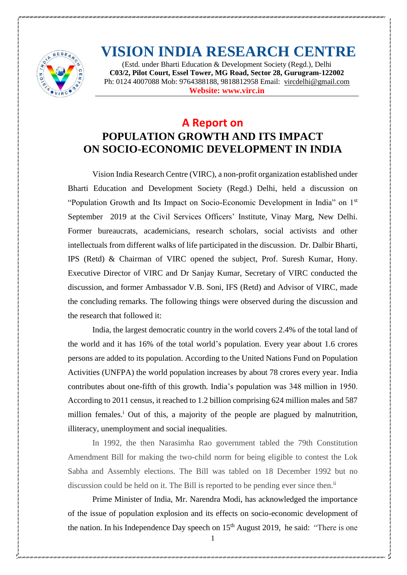

## **VISION INDIA RESEARCH CENTRE**

(Estd. under Bharti Education & Development Society (Regd.), Delhi **C03/2, Pilot Court, Essel Tower, MG Road, Sector 28, Gurugram-122002**  Ph: 0124 4007088 Mob: 9764388188, 9818812958 Email: [vircdelhi@gmail.com](mailto:vircdelhi@gmail.com) **Website: [www.virc.in](http://www.virc.in/)**

## **A Report on POPULATION GROWTH AND ITS IMPACT ON SOCIO-ECONOMIC DEVELOPMENT IN INDIA**

Vision India Research Centre (VIRC), a non-profit organization established under Bharti Education and Development Society (Regd.) Delhi, held a discussion on "Population Growth and Its Impact on Socio-Economic Development in India" on 1st September 2019 at the Civil Services Officers' Institute, Vinay Marg, New Delhi. Former bureaucrats, academicians, research scholars, social activists and other intellectuals from different walks of life participated in the discussion. Dr. Dalbir Bharti, IPS (Retd) & Chairman of VIRC opened the subject, Prof. Suresh Kumar, Hony. Executive Director of VIRC and Dr Sanjay Kumar, Secretary of VIRC conducted the discussion, and former Ambassador V.B. Soni, IFS (Retd) and Advisor of VIRC, made the concluding remarks. The following things were observed during the discussion and the research that followed it:

India, the largest democratic country in the world covers 2.4% of the total land of the world and it has 16% of the total world's population. Every year about 1.6 crores persons are added to its population. According to the United Nations Fund on Population Activities (UNFPA) the world population increases by about 78 crores every year. India contributes about one-fifth of this growth. India's population was 348 million in 1950. According to 2011 census, it reached to 1.2 billion comprising 624 million males and 587 million females.<sup>i</sup> Out of this, a majority of the people are plagued by malnutrition, illiteracy, unemployment and social inequalities.

In 1992, the then Narasimha Rao government tabled the 79th Constitution Amendment Bill for making the two-child norm for being eligible to contest the Lok Sabha and Assembly elections. The Bill was tabled on 18 December 1992 but no discussion could be held on it. The Bill is reported to be pending ever since then.<sup>ii</sup>

Prime Minister of India, Mr. Narendra Modi, has acknowledged the importance of the issue of population explosion and its effects on socio-economic development of the nation. In his Independence Day speech on  $15<sup>th</sup>$  August 2019, he said: "There is one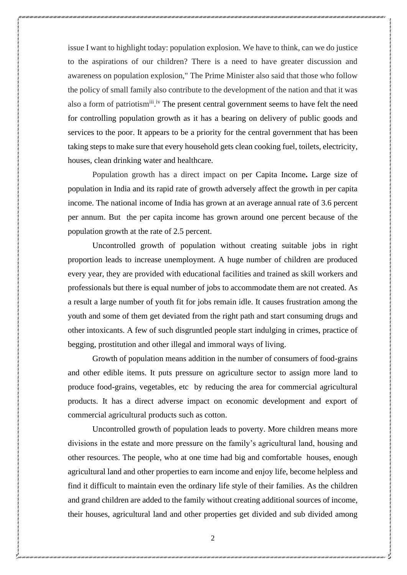issue I want to highlight today: population explosion. We have to think, can we do justice to the aspirations of our children? There is a need to have greater discussion and awareness on population explosion," The Prime Minister also said that those who follow the policy of small family also contribute to the development of the nation and that it was also a form of patriotism<sup>iii</sup>.<sup>iv</sup> The present central government seems to have felt the need for controlling population growth as it has a bearing on delivery of public goods and services to the poor. It appears to be a priority for the central government that has been taking steps to make sure that every household gets clean cooking fuel, toilets, electricity, houses, clean drinking water and healthcare.

Population growth has a direct impact on per Capita Income**.** Large size of population in India and its rapid rate of growth adversely affect the growth in per capita income. The national income of India has grown at an average annual rate of 3.6 percent per annum. But the per capita income has grown around one percent because of the population growth at the rate of 2.5 percent.

Uncontrolled growth of population without creating suitable jobs in right proportion leads to increase unemployment. A huge number of children are produced every year, they are provided with educational facilities and trained as skill workers and professionals but there is equal number of jobs to accommodate them are not created. As a result a large number of youth fit for jobs remain idle. It causes frustration among the youth and some of them get deviated from the right path and start consuming drugs and other intoxicants. A few of such disgruntled people start indulging in crimes, practice of begging, prostitution and other illegal and immoral ways of living.

Growth of population means addition in the number of consumers of food-grains and other edible items. It puts pressure on agriculture sector to assign more land to produce food-grains, vegetables, etc by reducing the area for commercial agricultural products. It has a direct adverse impact on economic development and export of commercial agricultural products such as cotton.

Uncontrolled growth of population leads to poverty. More children means more divisions in the estate and more pressure on the family's agricultural land, housing and other resources. The people, who at one time had big and comfortable houses, enough agricultural land and other properties to earn income and enjoy life, become helpless and find it difficult to maintain even the ordinary life style of their families. As the children and grand children are added to the family without creating additional sources of income, their houses, agricultural land and other properties get divided and sub divided among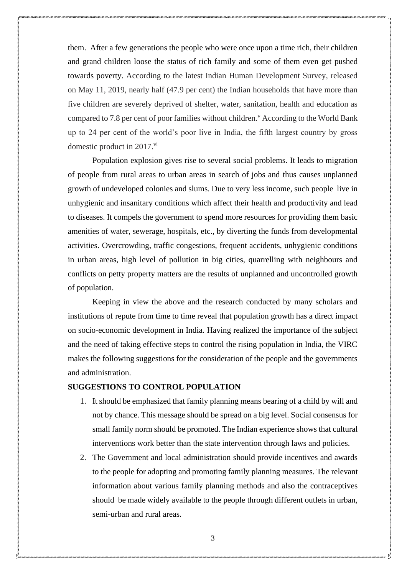them. After a few generations the people who were once upon a time rich, their children and grand children loose the status of rich family and some of them even get pushed towards poverty. According to the latest Indian Human Development Survey, released on May 11, 2019, nearly half (47.9 per cent) the Indian households that have more than five children are severely deprived of shelter, water, sanitation, health and education as compared to 7.8 per cent of poor families without children.<sup>v</sup> According to the World Bank up to 24 per cent of the world's poor live in India, the fifth largest country by gross domestic product in 2017.<sup>vi</sup>

Population explosion gives rise to several social problems. It leads to migration of people from rural areas to urban areas in search of jobs and thus causes unplanned growth of undeveloped colonies and slums. Due to very less income, such people live in unhygienic and insanitary conditions which affect their health and productivity and lead to diseases. It compels the government to spend more resources for providing them basic amenities of water, sewerage, hospitals, etc., by diverting the funds from developmental activities. Overcrowding, traffic congestions, frequent accidents, unhygienic conditions in urban areas, high level of pollution in big cities, quarrelling with neighbours and conflicts on petty property matters are the results of unplanned and uncontrolled growth of population.

Keeping in view the above and the research conducted by many scholars and institutions of repute from time to time reveal that population growth has a direct impact on socio-economic development in India. Having realized the importance of the subject and the need of taking effective steps to control the rising population in India, the VIRC makes the following suggestions for the consideration of the people and the governments and administration.

## **SUGGESTIONS TO CONTROL POPULATION**

- 1. It should be emphasized that family planning means bearing of a child by will and not by chance. This message should be spread on a big level. Social consensus for small family norm should be promoted. The Indian experience shows that cultural interventions work better than the state intervention through laws and policies.
- 2. The Government and local administration should provide incentives and awards to the people for adopting and promoting family planning measures. The relevant information about various family planning methods and also the contraceptives should be made widely available to the people through different outlets in urban, semi-urban and rural areas.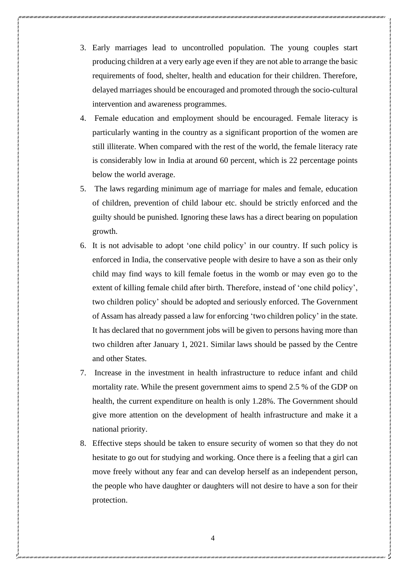- 3. Early marriages lead to uncontrolled population. The young couples start producing children at a very early age even if they are not able to arrange the basic requirements of food, shelter, health and education for their children. Therefore, delayed marriages should be encouraged and promoted through the socio-cultural intervention and awareness programmes.
- 4. Female education and employment should be encouraged. Female literacy is particularly wanting in the country as a significant proportion of the women are still illiterate. When compared with the rest of the world, the female literacy rate is considerably low in India at around 60 percent, which is 22 percentage points below the world average.
- 5. The laws regarding minimum age of marriage for males and female, education of children, prevention of child labour etc. should be strictly enforced and the guilty should be punished. Ignoring these laws has a direct bearing on population growth.
- 6. It is not advisable to adopt 'one child policy' in our country. If such policy is enforced in India, the conservative people with desire to have a son as their only child may find ways to kill female foetus in the womb or may even go to the extent of killing female child after birth. Therefore, instead of 'one child policy', two children policy' should be adopted and seriously enforced. The Government of Assam has already passed a law for enforcing 'two children policy' in the state. It has declared that no government jobs will be given to persons having more than two children after January 1, 2021. Similar laws should be passed by the Centre and other States.
- 7. Increase in the investment in health infrastructure to reduce infant and child mortality rate. While the present government aims to spend 2.5 % of the GDP on health, the current expenditure on health is only 1.28%. The Government should give more attention on the development of health infrastructure and make it a national priority.
- 8. Effective steps should be taken to ensure security of women so that they do not hesitate to go out for studying and working. Once there is a feeling that a girl can move freely without any fear and can develop herself as an independent person, the people who have daughter or daughters will not desire to have a son for their protection.